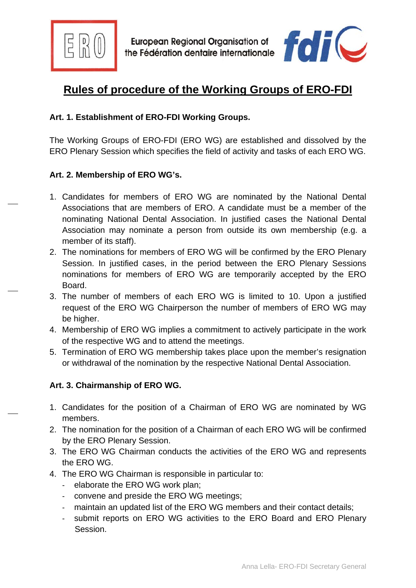



# **Rules of procedure of the Working Groups of ERO-FDI**

## **Art. 1. Establishment of ERO-FDI Working Groups.**

The Working Groups of ERO-FDI (ERO WG) are established and dissolved by the ERO Plenary Session which specifies the field of activity and tasks of each ERO WG.

## **Art. 2. Membership of ERO WG's.**

- 1. Candidates for members of ERO WG are nominated by the National Dental Associations that are members of ERO. A candidate must be a member of the nominating National Dental Association. In justified cases the National Dental Association may nominate a person from outside its own membership (e.g. a member of its staff).
- 2. The nominations for members of ERO WG will be confirmed by the ERO Plenary Session. In justified cases, in the period between the ERO Plenary Sessions nominations for members of ERO WG are temporarily accepted by the ERO Board.
- 3. The number of members of each ERO WG is limited to 10. Upon a justified request of the ERO WG Chairperson the number of members of ERO WG may be higher.
- 4. Membership of ERO WG implies a commitment to actively participate in the work of the respective WG and to attend the meetings.
- 5. Termination of ERO WG membership takes place upon the member's resignation or withdrawal of the nomination by the respective National Dental Association.

#### **Art. 3. Chairmanship of ERO WG.**

- 1. Candidates for the position of a Chairman of ERO WG are nominated by WG members.
- 2. The nomination for the position of a Chairman of each ERO WG will be confirmed by the ERO Plenary Session.
- 3. The ERO WG Chairman conducts the activities of the ERO WG and represents the ERO WG.
- 4. The ERO WG Chairman is responsible in particular to:
	- elaborate the ERO WG work plan;
	- convene and preside the ERO WG meetings;
	- maintain an updated list of the ERO WG members and their contact details;
	- submit reports on ERO WG activities to the ERO Board and ERO Plenary Session.